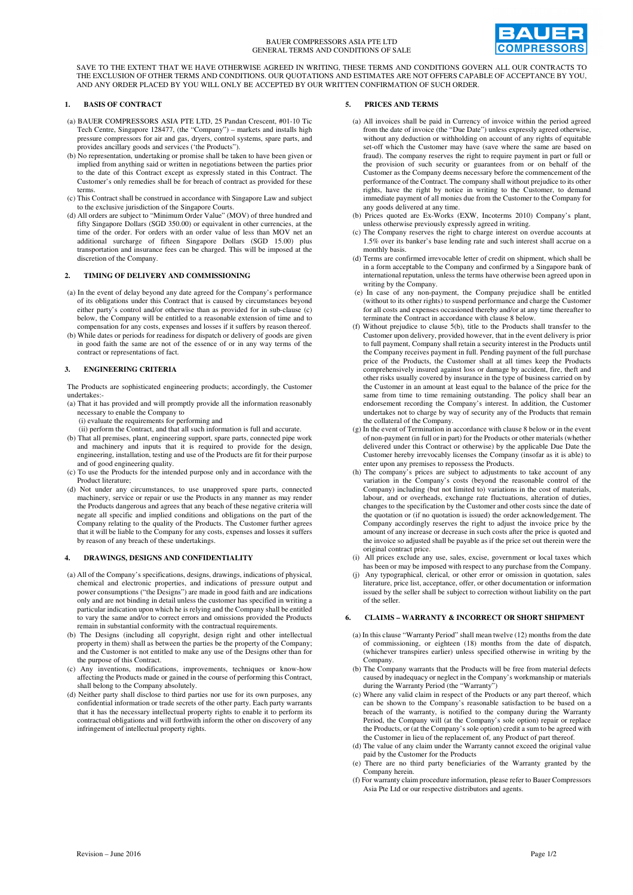

SAVE TO THE EXTENT THAT WE HAVE OTHERWISE AGREED IN WRITING, THESE TERMS AND CONDITIONS GOVERN ALL OUR CONTRACTS TO THE EXCLUSION OF OTHER TERMS AND CONDITIONS. OUR QUOTATIONS AND ESTIMATES ARE NOT OFFERS CAPABLE OF ACCEPTANCE BY YOU, AND ANY ORDER PLACED BY YOU WILL ONLY BE ACCEPTED BY OUR WRITTEN CONFIRMATION OF SUCH ORDER.

## **1. BASIS OF CONTRACT**

- (a) BAUER COMPRESSORS ASIA PTE LTD, 25 Pandan Crescent, #01-10 Tic Tech Centre, Singapore 128477, (the "Company") – markets and installs high pressure compressors for air and gas, dryers, control systems, spare parts, and provides ancillary goods and services ('the Products").
- (b) No representation, undertaking or promise shall be taken to have been given or implied from anything said or written in negotiations between the parties prior to the date of this Contract except as expressly stated in this Contract. The Customer's only remedies shall be for breach of contract as provided for these terms.
- (c) This Contract shall be construed in accordance with Singapore Law and subject to the exclusive jurisdiction of the Singapore Courts.
- (d) All orders are subject to "Minimum Order Value" (MOV) of three hundred and fifty Singapore Dollars (SGD 350.00) or equivalent in other currencies, at the time of the order. For orders with an order value of less than MOV net an additional surcharge of fifteen Singapore Dollars (SGD 15.00) plus transportation and insurance fees can be charged. This will be imposed at the discretion of the Company.

## **2. TIMING OF DELIVERY AND COMMISSIONING**

- (a) In the event of delay beyond any date agreed for the Company's performance of its obligations under this Contract that is caused by circumstances beyond either party's control and/or otherwise than as provided for in sub-clause (c) below, the Company will be entitled to a reasonable extension of time and to compensation for any costs, expenses and losses if it suffers by reason thereof.
- (b) While dates or periods for readiness for dispatch or delivery of goods are given in good faith the same are not of the essence of or in any way terms of the contract or representations of fact.

#### **3. ENGINEERING CRITERIA**

The Products are sophisticated engineering products; accordingly, the Customer undertakes:-

(a) That it has provided and will promptly provide all the information reasonably necessary to enable the Company to

(i) evaluate the requirements for performing and

- (ii) perform the Contract, and that all such information is full and accurate.
- (b) That all premises, plant, engineering support, spare parts, connected pipe work and machinery and inputs that it is required to provide for the design, engineering, installation, testing and use of the Products are fit for their purpose and of good engineering quality.
- (c) To use the Products for the intended purpose only and in accordance with the Product literature;
- (d) Not under any circumstances, to use unapproved spare parts, connected machinery, service or repair or use the Products in any manner as may render the Products dangerous and agrees that any beach of these negative criteria will negate all specific and implied conditions and obligations on the part of the Company relating to the quality of the Products. The Customer further agrees that it will be liable to the Company for any costs, expenses and losses it suffers by reason of any breach of these undertakings.

## **4. DRAWINGS, DESIGNS AND CONFIDENTIALITY**

- (a) All of the Company's specifications, designs, drawings, indications of physical, chemical and electronic properties, and indications of pressure output and power consumptions ("the Designs") are made in good faith and are indications only and are not binding in detail unless the customer has specified in writing a particular indication upon which he is relying and the Company shall be entitled to vary the same and/or to correct errors and omissions provided the Products remain in substantial conformity with the contractual requirements.
- (b) The Designs (including all copyright, design right and other intellectual property in them) shall as between the parties be the property of the Company; and the Customer is not entitled to make any use of the Designs other than for the purpose of this Contract.
- (c) Any inventions, modifications, improvements, techniques or know-how affecting the Products made or gained in the course of performing this Contract, shall belong to the Company absolutely.
- (d) Neither party shall disclose to third parties nor use for its own purposes, any confidential information or trade secrets of the other party. Each party warrants that it has the necessary intellectual property rights to enable it to perform its contractual obligations and will forthwith inform the other on discovery of any infringement of intellectual property rights.

## **5. PRICES AND TERMS**

- (a) All invoices shall be paid in Currency of invoice within the period agreed from the date of invoice (the "Due Date") unless expressly agreed otherwise, without any deduction or withholding on account of any rights of equitable set-off which the Customer may have (save where the same are based on fraud). The company reserves the right to require payment in part or full or the provision of such security or guarantees from or on behalf of the Customer as the Company deems necessary before the commencement of the performance of the Contract. The company shall without prejudice to its other rights, have the right by notice in writing to the Customer, to demand immediate payment of all monies due from the Customer to the Company for any goods delivered at any time.
- (b) Prices quoted are Ex-Works (EXW, Incoterms 2010) Company's plant, unless otherwise previously expressly agreed in writing.
- (c) The Company reserves the right to charge interest on overdue accounts at 1.5% over its banker's base lending rate and such interest shall accrue on a monthly basis.
- (d) Terms are confirmed irrevocable letter of credit on shipment, which shall be in a form acceptable to the Company and confirmed by a Singapore bank of international reputation, unless the terms have otherwise been agreed upon in writing by the Company.
- (e) In case of any non-payment, the Company prejudice shall be entitled (without to its other rights) to suspend performance and charge the Customer for all costs and expenses occasioned thereby and/or at any time thereafter to terminate the Contract in accordance with clause 8 below.
- (f) Without prejudice to clause 5(b), title to the Products shall transfer to the Customer upon delivery, provided however, that in the event delivery is prior to full payment, Company shall retain a security interest in the Products until the Company receives payment in full. Pending payment of the full purchase price of the Products, the Customer shall at all times keep the Products comprehensively insured against loss or damage by accident, fire, theft and other risks usually covered by insurance in the type of business carried on by the Customer in an amount at least equal to the balance of the price for the same from time to time remaining outstanding. The policy shall bear an endorsement recording the Company's interest. In addition, the Customer undertakes not to charge by way of security any of the Products that remain the collateral of the Company.
- (g) In the event of Termination in accordance with clause 8 below or in the event of non-payment (in full or in part) for the Products or other materials (whether delivered under this Contract or otherwise) by the applicable Due Date the Customer hereby irrevocably licenses the Company (insofar as it is able) to enter upon any premises to repossess the Products.
- (h) The company's prices are subject to adjustments to take account of any variation in the Company's costs (beyond the reasonable control of the Company) including (but not limited to) variations in the cost of materials, labour, and or overheads, exchange rate fluctuations, alteration of duties, changes to the specification by the Customer and other costs since the date of the quotation or (if no quotation is issued) the order acknowledgement. The Company accordingly reserves the right to adjust the invoice price by the amount of any increase or decrease in such costs after the price is quoted and the invoice so adjusted shall be payable as if the price set out therein were the original contract price.
- (i) All prices exclude any use, sales, excise, government or local taxes which has been or may be imposed with respect to any purchase from the Company.
- (j) Any typographical, clerical, or other error or omission in quotation, sales literature, price list, acceptance, offer, or other documentation or information issued by the seller shall be subject to correction without liability on the part of the seller.

## **6. CLAIMS – WARRANTY & INCORRECT OR SHORT SHIPMENT**

- (a) In this clause "Warranty Period" shall mean twelve (12) months from the date of commissioning, or eighteen (18) months from the date of dispatch, (whichever transpires earlier) unless specified otherwise in writing by the Company.
- (b) The Company warrants that the Products will be free from material defects caused by inadequacy or neglect in the Company's workmanship or materials during the Warranty Period (the "Warranty")
- (c) Where any valid claim in respect of the Products or any part thereof, which can be shown to the Company's reasonable satisfaction to be based on a breach of the warranty, is notified to the company during the Warranty Period, the Company will (at the Company's sole option) repair or replace the Products, or (at the Company's sole option) credit a sum to be agreed with the Customer in lieu of the replacement of, any Product of part thereof.
- (d) The value of any claim under the Warranty cannot exceed the original value paid by the Customer for the Products
- (e) There are no third party beneficiaries of the Warranty granted by the Company herein.
- (f) For warranty claim procedure information, please refer to Bauer Compressors Asia Pte Ltd or our respective distributors and agents.